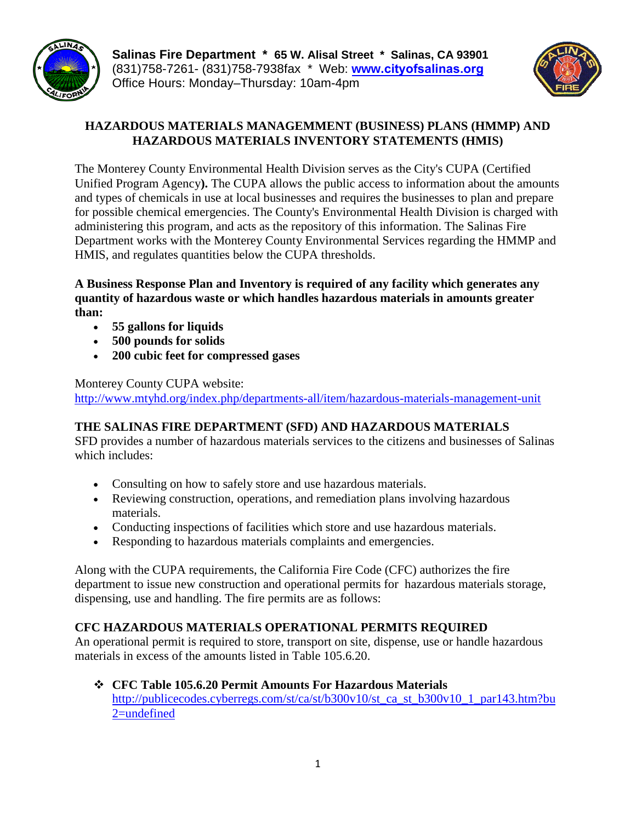

**Salinas Fire Department \* 65 W. Alisal Street \* Salinas, CA 93901**  (831)758-7261- (831)758-7938fax \* Web: **www.[cityofsalinas.org](http://www.cityofsalinas.org)**  Office Hours: Monday–Thursday: 10am-4pm



# **HAZARDOUS MATERIALS MANAGEMMENT (BUSINESS) PLANS (HMMP) AND HAZARDOUS MATERIALS INVENTORY STATEMENTS (HMIS)**

The Monterey County Environmental Health Division serves as the City's CUPA (Certified Unified Program Agency**).** The CUPA allows the public access to information about the amounts and types of chemicals in use at local businesses and requires the businesses to plan and prepare for possible chemical emergencies. The County's Environmental Health Division is charged with administering this program, and acts as the repository of this information. The Salinas Fire Department works with the Monterey County Environmental Services regarding the HMMP and HMIS, and regulates quantities below the CUPA thresholds.

**A Business Response Plan and Inventory is required of any facility which generates any quantity of hazardous waste or which handles hazardous materials in amounts greater than:**

- **55 gallons for liquids**
- **500 pounds for solids**
- **200 cubic feet for compressed gases**

Monterey County CUPA website:

<http://www.mtyhd.org/index.php/departments-all/item/hazardous-materials-management-unit>

# **THE SALINAS FIRE DEPARTMENT (SFD) AND HAZARDOUS MATERIALS**

SFD provides a number of hazardous materials services to the citizens and businesses of Salinas which includes:

- Consulting on how to safely store and use hazardous materials.
- Reviewing construction, operations, and remediation plans involving hazardous materials.
- Conducting inspections of facilities which store and use hazardous materials.
- Responding to hazardous materials complaints and emergencies.

Along with the CUPA requirements, the California Fire Code (CFC) authorizes the fire department to issue new construction and operational permits for hazardous materials storage, dispensing, use and handling. The fire permits are as follows:

# **CFC HAZARDOUS MATERIALS OPERATIONAL PERMITS REQUIRED**

An operational permit is required to store, transport on site, dispense, use or handle hazardous materials in excess of the amounts listed in Table 105.6.20.

 **CFC Table 105.6.20 Permit Amounts For Hazardous Materials** [http://publicecodes.cyberregs.com/st/ca/st/b300v10/st\\_ca\\_st\\_b300v10\\_1\\_par143.htm?bu](http://publicecodes.cyberregs.com/st/ca/st/b300v10/st_ca_st_b300v10_1_par143.htm?bu2=undefined) [2=undefined](http://publicecodes.cyberregs.com/st/ca/st/b300v10/st_ca_st_b300v10_1_par143.htm?bu2=undefined)